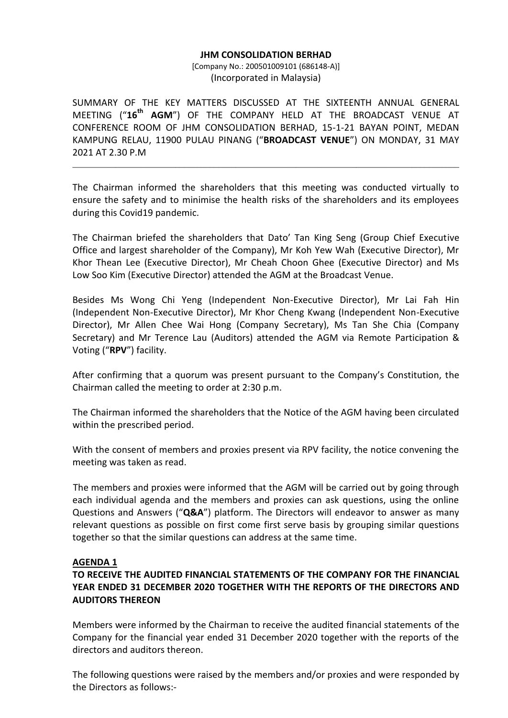### **JHM CONSOLIDATION BERHAD**

[Company No.: 200501009101 (686148-A)] (Incorporated in Malaysia)

SUMMARY OF THE KEY MATTERS DISCUSSED AT THE SIXTEENTH ANNUAL GENERAL MEETING ("**16th AGM**") OF THE COMPANY HELD AT THE BROADCAST VENUE AT CONFERENCE ROOM OF JHM CONSOLIDATION BERHAD, 15-1-21 BAYAN POINT, MEDAN KAMPUNG RELAU, 11900 PULAU PINANG ("**BROADCAST VENUE**") ON MONDAY, 31 MAY 2021 AT 2.30 P.M

The Chairman informed the shareholders that this meeting was conducted virtually to ensure the safety and to minimise the health risks of the shareholders and its employees during this Covid19 pandemic.

\_\_\_\_\_\_\_\_\_\_\_\_\_\_\_\_\_\_\_\_\_\_\_\_\_\_\_\_\_\_\_\_\_\_\_\_\_\_\_\_\_\_\_\_\_\_\_\_\_\_\_\_\_\_\_\_\_\_\_\_\_\_\_\_\_\_\_\_\_\_\_\_\_\_\_\_\_\_\_\_\_\_\_\_\_\_\_\_\_\_

The Chairman briefed the shareholders that Dato' Tan King Seng (Group Chief Executive Office and largest shareholder of the Company), Mr Koh Yew Wah (Executive Director), Mr Khor Thean Lee (Executive Director), Mr Cheah Choon Ghee (Executive Director) and Ms Low Soo Kim (Executive Director) attended the AGM at the Broadcast Venue.

Besides Ms Wong Chi Yeng (Independent Non-Executive Director), Mr Lai Fah Hin (Independent Non-Executive Director), Mr Khor Cheng Kwang (Independent Non-Executive Director), Mr Allen Chee Wai Hong (Company Secretary), Ms Tan She Chia (Company Secretary) and Mr Terence Lau (Auditors) attended the AGM via Remote Participation & Voting ("**RPV**") facility.

After confirming that a quorum was present pursuant to the Company's Constitution, the Chairman called the meeting to order at 2:30 p.m.

The Chairman informed the shareholders that the Notice of the AGM having been circulated within the prescribed period.

With the consent of members and proxies present via RPV facility, the notice convening the meeting was taken as read.

The members and proxies were informed that the AGM will be carried out by going through each individual agenda and the members and proxies can ask questions, using the online Questions and Answers ("**Q&A**") platform. The Directors will endeavor to answer as many relevant questions as possible on first come first serve basis by grouping similar questions together so that the similar questions can address at the same time.

### **AGENDA 1**

# **TO RECEIVE THE AUDITED FINANCIAL STATEMENTS OF THE COMPANY FOR THE FINANCIAL YEAR ENDED 31 DECEMBER 2020 TOGETHER WITH THE REPORTS OF THE DIRECTORS AND AUDITORS THEREON**

Members were informed by the Chairman to receive the audited financial statements of the Company for the financial year ended 31 December 2020 together with the reports of the directors and auditors thereon.

The following questions were raised by the members and/or proxies and were responded by the Directors as follows:-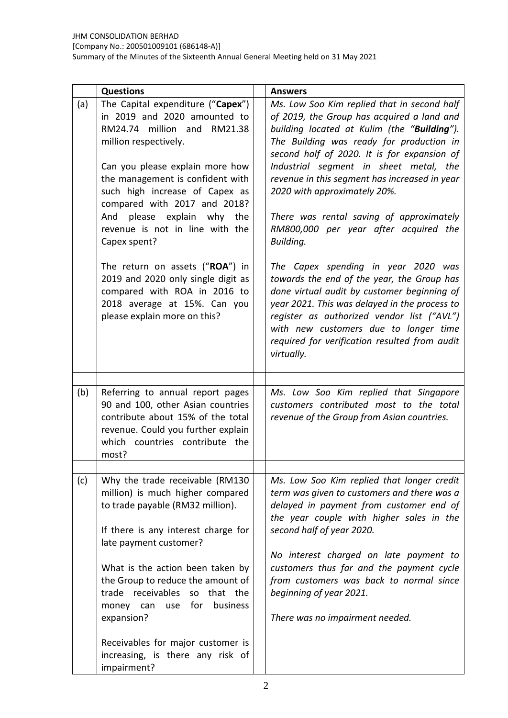|     | <b>Questions</b>                                                                                                                                                                                                                                                                                                                                    | <b>Answers</b>                                                                                                                                                                                                                                                                                                                                                                                                                                                   |
|-----|-----------------------------------------------------------------------------------------------------------------------------------------------------------------------------------------------------------------------------------------------------------------------------------------------------------------------------------------------------|------------------------------------------------------------------------------------------------------------------------------------------------------------------------------------------------------------------------------------------------------------------------------------------------------------------------------------------------------------------------------------------------------------------------------------------------------------------|
| (a) | The Capital expenditure ("Capex")<br>in 2019 and 2020 amounted to<br>RM24.74 million and RM21.38<br>million respectively.<br>Can you please explain more how<br>the management is confident with<br>such high increase of Capex as<br>compared with 2017 and 2018?<br>And please explain why the<br>revenue is not in line with the<br>Capex spent? | Ms. Low Soo Kim replied that in second half<br>of 2019, the Group has acquired a land and<br>building located at Kulim (the "Building").<br>The Building was ready for production in<br>second half of 2020. It is for expansion of<br>Industrial segment in sheet metal, the<br>revenue in this segment has increased in year<br>2020 with approximately 20%.<br>There was rental saving of approximately<br>RM800,000 per year after acquired the<br>Building. |
|     | The return on assets ("ROA") in<br>2019 and 2020 only single digit as<br>compared with ROA in 2016 to<br>2018 average at 15%. Can you<br>please explain more on this?                                                                                                                                                                               | The Capex spending in year 2020 was<br>towards the end of the year, the Group has<br>done virtual audit by customer beginning of<br>year 2021. This was delayed in the process to<br>register as authorized vendor list ("AVL")<br>with new customers due to longer time<br>required for verification resulted from audit<br>virtually.                                                                                                                          |
| (b) | Referring to annual report pages                                                                                                                                                                                                                                                                                                                    | Ms. Low Soo Kim replied that Singapore<br>customers contributed most to the total                                                                                                                                                                                                                                                                                                                                                                                |
|     | 90 and 100, other Asian countries<br>contribute about 15% of the total<br>revenue. Could you further explain<br>which countries contribute the<br>most?                                                                                                                                                                                             | revenue of the Group from Asian countries.                                                                                                                                                                                                                                                                                                                                                                                                                       |
|     |                                                                                                                                                                                                                                                                                                                                                     |                                                                                                                                                                                                                                                                                                                                                                                                                                                                  |
| (c) | Why the trade receivable (RM130<br>million) is much higher compared<br>to trade payable (RM32 million).<br>If there is any interest charge for<br>late payment customer?                                                                                                                                                                            | Ms. Low Soo Kim replied that longer credit<br>term was given to customers and there was a<br>delayed in payment from customer end of<br>the year couple with higher sales in the<br>second half of year 2020.                                                                                                                                                                                                                                                    |
|     | What is the action been taken by<br>the Group to reduce the amount of<br>receivables<br>that the<br>trade<br><b>SO</b><br>for<br>business<br>money can use                                                                                                                                                                                          | No interest charged on late payment to<br>customers thus far and the payment cycle<br>from customers was back to normal since<br>beginning of year 2021.                                                                                                                                                                                                                                                                                                         |
|     | expansion?                                                                                                                                                                                                                                                                                                                                          | There was no impairment needed.                                                                                                                                                                                                                                                                                                                                                                                                                                  |
|     | Receivables for major customer is<br>increasing, is there any risk of<br>impairment?                                                                                                                                                                                                                                                                |                                                                                                                                                                                                                                                                                                                                                                                                                                                                  |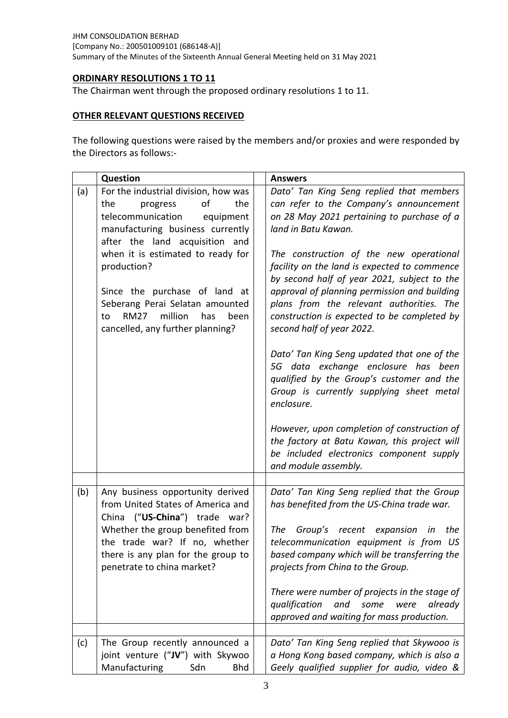# **ORDINARY RESOLUTIONS 1 TO 11**

The Chairman went through the proposed ordinary resolutions 1 to 11.

## **OTHER RELEVANT QUESTIONS RECEIVED**

The following questions were raised by the members and/or proxies and were responded by the Directors as follows:-

|     | Question                                                                                                                                                                                                                                        | <b>Answers</b>                                                                                                                                                                                                                                                                                                 |
|-----|-------------------------------------------------------------------------------------------------------------------------------------------------------------------------------------------------------------------------------------------------|----------------------------------------------------------------------------------------------------------------------------------------------------------------------------------------------------------------------------------------------------------------------------------------------------------------|
| (a) | For the industrial division, how was<br>of<br>the<br>progress<br>the<br>telecommunication<br>equipment<br>manufacturing business currently<br>after the land acquisition and                                                                    | Dato' Tan King Seng replied that members<br>can refer to the Company's announcement<br>on 28 May 2021 pertaining to purchase of a<br>land in Batu Kawan.                                                                                                                                                       |
|     | when it is estimated to ready for<br>production?<br>Since the purchase of land at<br>Seberang Perai Selatan amounted<br><b>RM27</b><br>million<br>has<br>been<br>to<br>cancelled, any further planning?                                         | The construction of the new operational<br>facility on the land is expected to commence<br>by second half of year 2021, subject to the<br>approval of planning permission and building<br>plans from the relevant authorities. The<br>construction is expected to be completed by<br>second half of year 2022. |
|     |                                                                                                                                                                                                                                                 | Dato' Tan King Seng updated that one of the<br>5G data exchange enclosure has been<br>qualified by the Group's customer and the<br>Group is currently supplying sheet metal<br>enclosure.                                                                                                                      |
|     |                                                                                                                                                                                                                                                 | However, upon completion of construction of<br>the factory at Batu Kawan, this project will<br>be included electronics component supply<br>and module assembly.                                                                                                                                                |
|     |                                                                                                                                                                                                                                                 |                                                                                                                                                                                                                                                                                                                |
| (b) | Any business opportunity derived<br>from United States of America and<br>China ("US-China") trade war?<br>Whether the group benefited from<br>the trade war? If no, whether<br>there is any plan for the group to<br>penetrate to china market? | Dato' Tan King Seng replied that the Group<br>has benefited from the US-China trade war.<br>The Group's recent expansion in the<br>telecommunication equipment is from US<br>based company which will be transferring the<br>projects from China to the Group.                                                 |
|     |                                                                                                                                                                                                                                                 | There were number of projects in the stage of<br>qualification<br>and<br>some<br>already<br>were<br>approved and waiting for mass production.                                                                                                                                                                  |
|     |                                                                                                                                                                                                                                                 |                                                                                                                                                                                                                                                                                                                |
| (c) | The Group recently announced a<br>joint venture ("JV") with Skywoo<br>Manufacturing<br><b>Bhd</b><br>Sdn                                                                                                                                        | Dato' Tan King Seng replied that Skywooo is<br>a Hong Kong based company, which is also a<br>Geely qualified supplier for audio, video &                                                                                                                                                                       |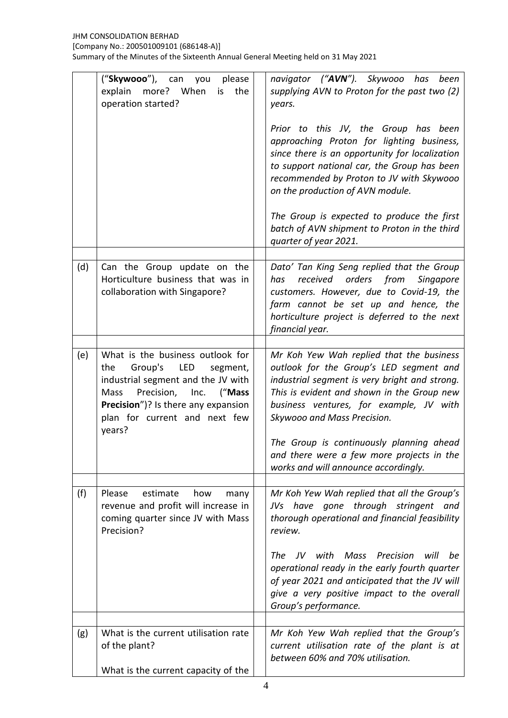#### JHM CONSOLIDATION BERHAD [Company No.: 200501009101 (686148-A)] Summary of the Minutes of the Sixteenth Annual General Meeting held on 31 May 2021

|     | ("Skywooo"), can you<br>please<br>more? When<br>explain<br>the<br>is<br>operation started?                                                                                                                                             | navigator ("AVN"). Skywooo has been<br>supplying AVN to Proton for the past two (2)<br>years.<br>Prior to this JV, the Group has been<br>approaching Proton for lighting business,<br>since there is an opportunity for localization<br>to support national car, the Group has been<br>recommended by Proton to JV with Skywooo<br>on the production of AVN module.<br>The Group is expected to produce the first<br>batch of AVN shipment to Proton in the third<br>quarter of year 2021. |
|-----|----------------------------------------------------------------------------------------------------------------------------------------------------------------------------------------------------------------------------------------|--------------------------------------------------------------------------------------------------------------------------------------------------------------------------------------------------------------------------------------------------------------------------------------------------------------------------------------------------------------------------------------------------------------------------------------------------------------------------------------------|
| (d) | Can the Group update on the<br>Horticulture business that was in<br>collaboration with Singapore?                                                                                                                                      | Dato' Tan King Seng replied that the Group<br>received orders from<br>Singapore<br>has<br>customers. However, due to Covid-19, the<br>farm cannot be set up and hence, the<br>horticulture project is deferred to the next<br>financial year.                                                                                                                                                                                                                                              |
| (e) | What is the business outlook for<br>Group's<br><b>LED</b><br>segment,<br>the<br>industrial segment and the JV with<br>Mass<br>Precision, Inc. ("Mass<br>Precision")? Is there any expansion<br>plan for current and next few<br>years? | Mr Koh Yew Wah replied that the business<br>outlook for the Group's LED segment and<br>industrial segment is very bright and strong.<br>This is evident and shown in the Group new<br>business ventures, for example, JV with<br>Skywooo and Mass Precision.<br>The Group is continuously planning ahead<br>and there were a few more projects in the<br>works and will announce accordingly.                                                                                              |
| (f) | Please<br>estimate<br>how<br>many<br>revenue and profit will increase in<br>coming quarter since JV with Mass<br>Precision?                                                                                                            | Mr Koh Yew Wah replied that all the Group's<br>JVs have gone through stringent<br>and<br>thorough operational and financial feasibility<br>review.<br>JV with<br>Mass Precision<br>The<br>will<br>be<br>operational ready in the early fourth quarter<br>of year 2021 and anticipated that the JV will<br>give a very positive impact to the overall<br>Group's performance.                                                                                                               |
| (g) | What is the current utilisation rate<br>of the plant?<br>What is the current capacity of the                                                                                                                                           | Mr Koh Yew Wah replied that the Group's<br>current utilisation rate of the plant is at<br>between 60% and 70% utilisation.                                                                                                                                                                                                                                                                                                                                                                 |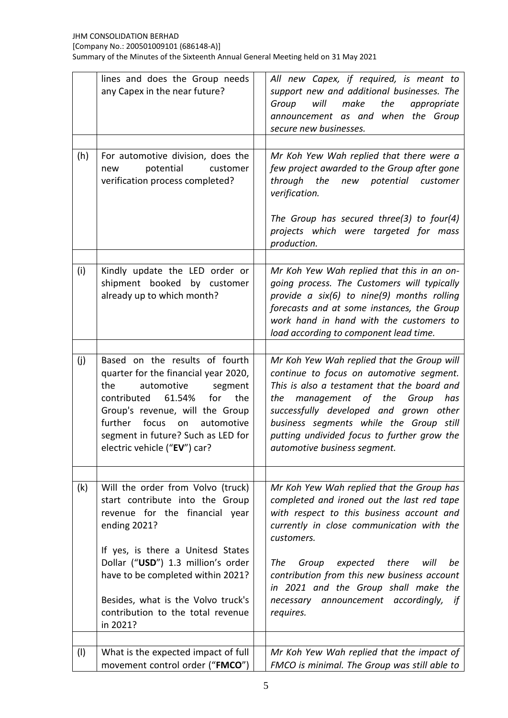#### JHM CONSOLIDATION BERHAD [Company No.: 200501009101 (686148-A)] Summary of the Minutes of the Sixteenth Annual General Meeting held on 31 May 2021

|     | lines and does the Group needs<br>any Capex in the near future?                                                                                                                                                                                                                             | All new Capex, if required, is meant to<br>support new and additional businesses. The<br>will<br>make<br>the<br>Group<br>appropriate<br>announcement as and when the Group<br>secure new businesses.                                                                                                                                                  |
|-----|---------------------------------------------------------------------------------------------------------------------------------------------------------------------------------------------------------------------------------------------------------------------------------------------|-------------------------------------------------------------------------------------------------------------------------------------------------------------------------------------------------------------------------------------------------------------------------------------------------------------------------------------------------------|
| (h) | For automotive division, does the<br>potential<br>customer<br>new<br>verification process completed?                                                                                                                                                                                        | Mr Koh Yew Wah replied that there were a<br>few project awarded to the Group after gone<br>through the new potential customer<br>verification.<br>The Group has secured three(3) to four(4)                                                                                                                                                           |
|     |                                                                                                                                                                                                                                                                                             | projects which were targeted for mass<br>production.                                                                                                                                                                                                                                                                                                  |
| (i) | Kindly update the LED order or<br>shipment booked<br>by customer<br>already up to which month?                                                                                                                                                                                              | Mr Koh Yew Wah replied that this in an on-<br>going process. The Customers will typically<br>provide a six(6) to nine(9) months rolling<br>forecasts and at some instances, the Group<br>work hand in hand with the customers to<br>load according to component lead time.                                                                            |
| (j) | Based on the results of fourth<br>quarter for the financial year 2020,<br>automotive<br>the<br>segment<br>contributed 61.54%<br>the<br>for<br>Group's revenue, will the Group<br>further<br>focus<br>on<br>automotive<br>segment in future? Such as LED for<br>electric vehicle ("EV") car? | Mr Koh Yew Wah replied that the Group will<br>continue to focus on automotive segment.<br>This is also a testament that the board and<br>management of the<br>has<br>the<br>Group<br>successfully developed and grown other<br>business segments while the Group still<br>putting undivided focus to further grow the<br>automotive business segment. |
| (k) | Will the order from Volvo (truck)<br>start contribute into the Group<br>revenue for the financial year<br>ending 2021?<br>If yes, is there a Unitesd States<br>Dollar ("USD") 1.3 million's order<br>have to be completed within 2021?                                                      | Mr Koh Yew Wah replied that the Group has<br>completed and ironed out the last red tape<br>with respect to this business account and<br>currently in close communication with the<br>customers.<br>expected there<br>The<br>Group<br>will<br>be<br>contribution from this new business account<br>in 2021 and the Group shall make the                |
|     | Besides, what is the Volvo truck's<br>contribution to the total revenue<br>in 2021?                                                                                                                                                                                                         | necessary announcement accordingly,<br>if<br>requires.                                                                                                                                                                                                                                                                                                |
| (1) | What is the expected impact of full                                                                                                                                                                                                                                                         | Mr Koh Yew Wah replied that the impact of                                                                                                                                                                                                                                                                                                             |
|     | movement control order ("FMCO")                                                                                                                                                                                                                                                             | FMCO is minimal. The Group was still able to                                                                                                                                                                                                                                                                                                          |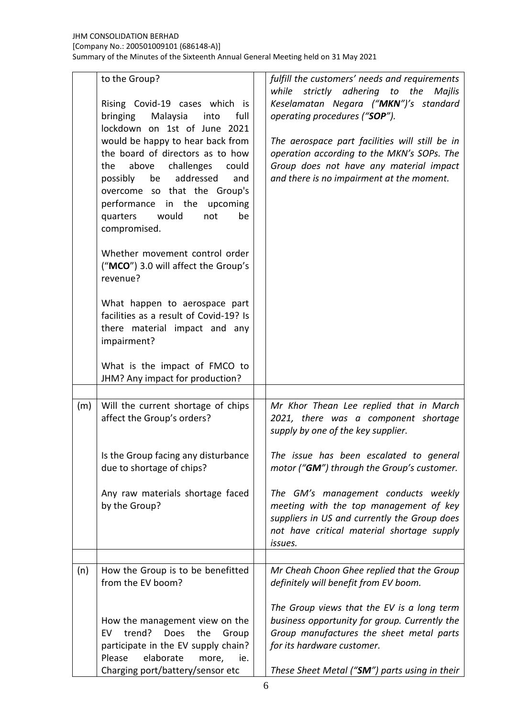|     | to the Group?<br>Rising Covid-19 cases which is<br>bringing<br>Malaysia<br>into<br>full<br>lockdown on 1st of June 2021<br>would be happy to hear back from<br>the board of directors as to how<br>above<br>challenges<br>the<br>could<br>addressed<br>be<br>possibly<br>and<br>overcome so that the Group's<br>performance in the upcoming<br>would<br>quarters<br>not<br>be<br>compromised.<br>Whether movement control order | fulfill the customers' needs and requirements<br>strictly adhering to the<br>while<br>Majlis<br>Keselamatan Negara ("MKN")'s standard<br>operating procedures ("SOP").<br>The aerospace part facilities will still be in<br>operation according to the MKN's SOPs. The<br>Group does not have any material impact<br>and there is no impairment at the moment. |
|-----|---------------------------------------------------------------------------------------------------------------------------------------------------------------------------------------------------------------------------------------------------------------------------------------------------------------------------------------------------------------------------------------------------------------------------------|----------------------------------------------------------------------------------------------------------------------------------------------------------------------------------------------------------------------------------------------------------------------------------------------------------------------------------------------------------------|
|     | ("MCO") 3.0 will affect the Group's<br>revenue?                                                                                                                                                                                                                                                                                                                                                                                 |                                                                                                                                                                                                                                                                                                                                                                |
|     | What happen to aerospace part<br>facilities as a result of Covid-19? Is<br>there material impact and any<br>impairment?                                                                                                                                                                                                                                                                                                         |                                                                                                                                                                                                                                                                                                                                                                |
|     | What is the impact of FMCO to<br>JHM? Any impact for production?                                                                                                                                                                                                                                                                                                                                                                |                                                                                                                                                                                                                                                                                                                                                                |
| (m) | Will the current shortage of chips<br>affect the Group's orders?                                                                                                                                                                                                                                                                                                                                                                | Mr Khor Thean Lee replied that in March<br>2021, there was a component shortage<br>supply by one of the key supplier.                                                                                                                                                                                                                                          |
|     | Is the Group facing any disturbance<br>due to shortage of chips?                                                                                                                                                                                                                                                                                                                                                                | The issue has been escalated to general<br>motor ("GM") through the Group's customer.                                                                                                                                                                                                                                                                          |
|     | Any raw materials shortage faced<br>by the Group?                                                                                                                                                                                                                                                                                                                                                                               | The GM's management conducts weekly<br>meeting with the top management of key<br>suppliers in US and currently the Group does<br>not have critical material shortage supply<br>issues.                                                                                                                                                                         |
| (n) | How the Group is to be benefitted                                                                                                                                                                                                                                                                                                                                                                                               | Mr Cheah Choon Ghee replied that the Group                                                                                                                                                                                                                                                                                                                     |
|     | from the EV boom?                                                                                                                                                                                                                                                                                                                                                                                                               | definitely will benefit from EV boom.                                                                                                                                                                                                                                                                                                                          |
|     | How the management view on the<br>trend?<br>Does<br>the<br>EV<br>Group<br>participate in the EV supply chain?                                                                                                                                                                                                                                                                                                                   | The Group views that the EV is a long term<br>business opportunity for group. Currently the<br>Group manufactures the sheet metal parts<br>for its hardware customer.                                                                                                                                                                                          |
|     | Please<br>elaborate<br>more,<br>ie.<br>Charging port/battery/sensor etc                                                                                                                                                                                                                                                                                                                                                         | These Sheet Metal ("SM") parts using in their                                                                                                                                                                                                                                                                                                                  |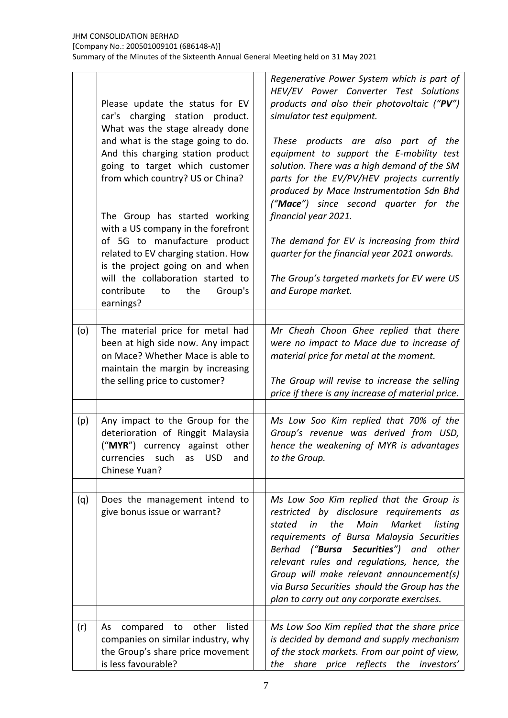|     |                                                                                                                                                                                  | Regenerative Power System which is part of<br>HEV/EV Power Converter Test Solutions                                                                                                                                                                                                                                                                                                                                     |
|-----|----------------------------------------------------------------------------------------------------------------------------------------------------------------------------------|-------------------------------------------------------------------------------------------------------------------------------------------------------------------------------------------------------------------------------------------------------------------------------------------------------------------------------------------------------------------------------------------------------------------------|
|     | Please update the status for EV<br>car's charging station product.<br>What was the stage already done                                                                            | products and also their photovoltaic ("PV")<br>simulator test equipment.                                                                                                                                                                                                                                                                                                                                                |
|     | and what is the stage going to do.<br>And this charging station product<br>going to target which customer<br>from which country? US or China?                                    | These products are also part of the<br>equipment to support the E-mobility test<br>solution. There was a high demand of the SM<br>parts for the EV/PV/HEV projects currently<br>produced by Mace Instrumentation Sdn Bhd<br>("Mace") since second quarter for the                                                                                                                                                       |
|     | The Group has started working<br>with a US company in the forefront                                                                                                              | financial year 2021.                                                                                                                                                                                                                                                                                                                                                                                                    |
|     | of 5G to manufacture product<br>related to EV charging station. How<br>is the project going on and when                                                                          | The demand for EV is increasing from third<br>quarter for the financial year 2021 onwards.                                                                                                                                                                                                                                                                                                                              |
|     | will the collaboration started to<br>contribute<br>the<br>Group's<br>to<br>earnings?                                                                                             | The Group's targeted markets for EV were US<br>and Europe market.                                                                                                                                                                                                                                                                                                                                                       |
|     |                                                                                                                                                                                  |                                                                                                                                                                                                                                                                                                                                                                                                                         |
| (o) | The material price for metal had<br>been at high side now. Any impact<br>on Mace? Whether Mace is able to<br>maintain the margin by increasing<br>the selling price to customer? | Mr Cheah Choon Ghee replied that there<br>were no impact to Mace due to increase of<br>material price for metal at the moment.<br>The Group will revise to increase the selling<br>price if there is any increase of material price.                                                                                                                                                                                    |
|     |                                                                                                                                                                                  |                                                                                                                                                                                                                                                                                                                                                                                                                         |
| (p) | Any impact to the Group for the<br>deterioration of Ringgit Malaysia<br>("MYR") currency against other<br>currencies<br>such<br>as<br><b>USD</b><br>and<br>Chinese Yuan?         | Ms Low Soo Kim replied that 70% of the<br>Group's revenue was derived from USD,<br>hence the weakening of MYR is advantages<br>to the Group.                                                                                                                                                                                                                                                                            |
|     |                                                                                                                                                                                  |                                                                                                                                                                                                                                                                                                                                                                                                                         |
| (q) | Does the management intend to<br>give bonus issue or warrant?                                                                                                                    | Ms Low Soo Kim replied that the Group is<br>restricted by disclosure requirements as<br>stated<br>the<br>Main<br>Market<br>in<br>listing<br>requirements of Bursa Malaysia Securities<br>Berhad ("Bursa Securities") and other<br>relevant rules and regulations, hence, the<br>Group will make relevant announcement(s)<br>via Bursa Securities should the Group has the<br>plan to carry out any corporate exercises. |
| (r) | compared<br>other<br>listed<br>to<br>As<br>companies on similar industry, why<br>the Group's share price movement<br>is less favourable?                                         | Ms Low Soo Kim replied that the share price<br>is decided by demand and supply mechanism<br>of the stock markets. From our point of view,<br>the share price reflects the investors'                                                                                                                                                                                                                                    |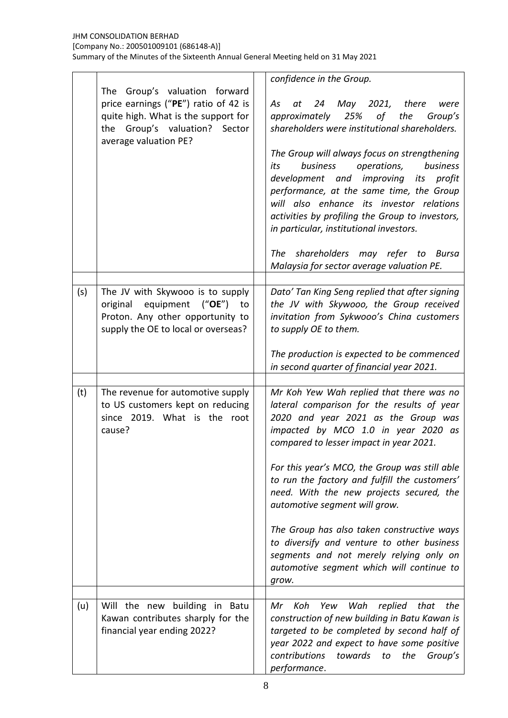#### JHM CONSOLIDATION BERHAD [Company No.: 200501009101 (686148-A)] Summary of the Minutes of the Sixteenth Annual General Meeting held on 31 May 2021

|     |                                                                                                                                                                           | confidence in the Group.                                                                                                                                                                                                                                                                                                 |
|-----|---------------------------------------------------------------------------------------------------------------------------------------------------------------------------|--------------------------------------------------------------------------------------------------------------------------------------------------------------------------------------------------------------------------------------------------------------------------------------------------------------------------|
|     | The Group's valuation forward<br>price earnings ("PE") ratio of 42 is<br>quite high. What is the support for<br>the Group's valuation?<br>Sector<br>average valuation PE? | May 2021, there<br>As<br>24<br>were<br>at<br>approximately 25% of the<br>Group's<br>shareholders were institutional shareholders.                                                                                                                                                                                        |
|     |                                                                                                                                                                           | The Group will always focus on strengthening<br>business<br>operations,<br>business<br>its<br>development and improving its profit<br>performance, at the same time, the Group<br>will also enhance its investor relations<br>activities by profiling the Group to investors,<br>in particular, institutional investors. |
|     |                                                                                                                                                                           | The shareholders may refer to Bursa<br>Malaysia for sector average valuation PE.                                                                                                                                                                                                                                         |
| (s) | The JV with Skywooo is to supply<br>original<br>equipment<br>(" <b>OE</b> ") to<br>Proton. Any other opportunity to<br>supply the OE to local or overseas?                | Dato' Tan King Seng replied that after signing<br>the JV with Skywooo, the Group received<br>invitation from Sykwooo's China customers<br>to supply OE to them.                                                                                                                                                          |
|     |                                                                                                                                                                           | The production is expected to be commenced<br>in second quarter of financial year 2021.                                                                                                                                                                                                                                  |
| (t) | The revenue for automotive supply<br>to US customers kept on reducing<br>since 2019. What is the root<br>cause?                                                           | Mr Koh Yew Wah replied that there was no<br>lateral comparison for the results of year<br>2020 and year 2021 as the Group was<br>impacted by MCO 1.0 in year 2020 as<br>compared to lesser impact in year 2021.                                                                                                          |
|     |                                                                                                                                                                           | For this year's MCO, the Group was still able<br>to run the factory and fulfill the customers'<br>need. With the new projects secured, the<br>automotive segment will grow.                                                                                                                                              |
|     |                                                                                                                                                                           | The Group has also taken constructive ways<br>to diversify and venture to other business<br>segments and not merely relying only on<br>automotive segment which will continue to<br>grow.                                                                                                                                |
| (u) | building in Batu<br>Will the new<br>Kawan contributes sharply for the<br>financial year ending 2022?                                                                      | Koh<br>Yew<br>that<br>the<br>Mr<br>Wah<br>replied<br>construction of new building in Batu Kawan is<br>targeted to be completed by second half of<br>year 2022 and expect to have some positive<br>contributions<br>towards<br>the<br>Group's<br>to<br>performance.                                                       |